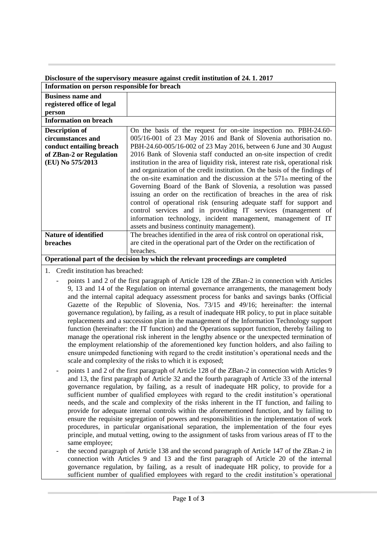## **Disclosure of the supervisory measure against credit institution of 24. 1. 2017**

| Information on person responsible for breach |                                                                                 |
|----------------------------------------------|---------------------------------------------------------------------------------|
| <b>Business name and</b>                     |                                                                                 |
| registered office of legal                   |                                                                                 |
| person                                       |                                                                                 |
| <b>Information on breach</b>                 |                                                                                 |
| <b>Description of</b>                        | On the basis of the request for on-site inspection no. PBH-24.60-               |
| circumstances and                            | 005/16-001 of 23 May 2016 and Bank of Slovenia authorisation no.                |
| conduct entailing breach                     | PBH-24.60-005/16-002 of 23 May 2016, between 6 June and 30 August               |
| of ZBan-2 or Regulation                      | 2016 Bank of Slovenia staff conducted an on-site inspection of credit           |
| (EU) No 575/2013                             | institution in the area of liquidity risk, interest rate risk, operational risk |
|                                              | and organization of the credit institution. On the basis of the findings of     |
|                                              | the on-site examination and the discussion at the $571th$ meeting of the        |
|                                              | Governing Board of the Bank of Slovenia, a resolution was passed                |
|                                              | issuing an order on the rectification of breaches in the area of risk           |
|                                              | control of operational risk (ensuring adequate staff for support and            |
|                                              | control services and in providing IT services (management of                    |
|                                              | information technology, incident management, management of IT                   |
|                                              | assets and business continuity management).                                     |
| <b>Nature of identified</b>                  | The breaches identified in the area of risk control on operational risk,        |
| <b>breaches</b>                              | are cited in the operational part of the Order on the rectification of          |
|                                              | breaches.                                                                       |
|                                              |                                                                                 |

**Operational part of the decision by which the relevant proceedings are completed**

- 1. Credit institution has breached:
	- points 1 and 2 of the first paragraph of Article 128 of the ZBan-2 in connection with Articles 9, 13 and 14 of the Regulation on internal governance arrangements, the management body and the internal capital adequacy assessment process for banks and savings banks (Official Gazette of the Republic of Slovenia, Nos. [73/15](http://www.uradni-list.si/1/objava.jsp?sop=2015-01-2849) and [49/16;](http://www.uradni-list.si/1/objava.jsp?sop=2016-01-2121) hereinafter: the internal governance regulation), by failing, as a result of inadequate HR policy, to put in place suitable replacements and a succession plan in the management of the Information Technology support function (hereinafter: the IT function) and the Operations support function, thereby failing to manage the operational risk inherent in the lengthy absence or the unexpected termination of the employment relationship of the aforementioned key function holders, and also failing to ensure unimpeded functioning with regard to the credit institution's operational needs and the scale and complexity of the risks to which it is exposed;
	- points 1 and 2 of the first paragraph of Article 128 of the ZBan-2 in connection with Articles 9 and 13, the first paragraph of Article 32 and the fourth paragraph of Article 33 of the internal governance regulation, by failing, as a result of inadequate HR policy, to provide for a sufficient number of qualified employees with regard to the credit institution's operational needs, and the scale and complexity of the risks inherent in the IT function, and failing to provide for adequate internal controls within the aforementioned function, and by failing to ensure the requisite segregation of powers and responsibilities in the implementation of work procedures, in particular organisational separation, the implementation of the four eyes principle, and mutual vetting, owing to the assignment of tasks from various areas of IT to the same employee;
	- the second paragraph of Article 138 and the second paragraph of Article 147 of the ZBan-2 in connection with Articles 9 and 13 and the first paragraph of Article 20 of the internal governance regulation, by failing, as a result of inadequate HR policy, to provide for a sufficient number of qualified employees with regard to the credit institution's operational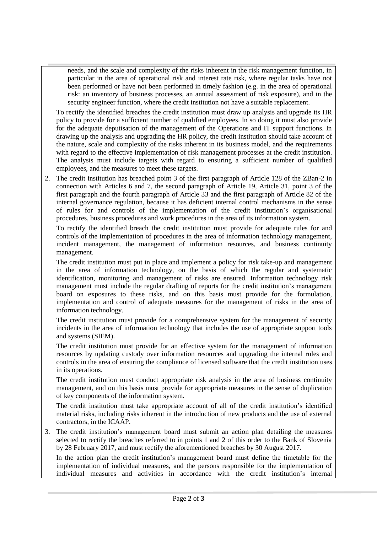needs, and the scale and complexity of the risks inherent in the risk management function, in particular in the area of operational risk and interest rate risk, where regular tasks have not been performed or have not been performed in timely fashion (e.g. in the area of operational risk: an inventory of business processes, an annual assessment of risk exposure), and in the security engineer function, where the credit institution not have a suitable replacement.

To rectify the identified breaches the credit institution must draw up analysis and upgrade its HR policy to provide for a sufficient number of qualified employees. In so doing it must also provide for the adequate deputisation of the management of the Operations and IT support functions. In drawing up the analysis and upgrading the HR policy, the credit institution should take account of the nature, scale and complexity of the risks inherent in its business model, and the requirements with regard to the effective implementation of risk management processes at the credit institution. The analysis must include targets with regard to ensuring a sufficient number of qualified employees, and the measures to meet these targets.

2. The credit institution has breached point 3 of the first paragraph of Article 128 of the ZBan-2 in connection with Articles 6 and 7, the second paragraph of Article 19, Article 31, point 3 of the first paragraph and the fourth paragraph of Article 33 and the first paragraph of Article 82 of the internal governance regulation, because it has deficient internal control mechanisms in the sense of rules for and controls of the implementation of the credit institution's organisational procedures, business procedures and work procedures in the area of its information system.

To rectify the identified breach the credit institution must provide for adequate rules for and controls of the implementation of procedures in the area of information technology management, incident management, the management of information resources, and business continuity management.

The credit institution must put in place and implement a policy for risk take-up and management in the area of information technology, on the basis of which the regular and systematic identification, monitoring and management of risks are ensured. Information technology risk management must include the regular drafting of reports for the credit institution's management board on exposures to these risks, and on this basis must provide for the formulation, implementation and control of adequate measures for the management of risks in the area of information technology.

The credit institution must provide for a comprehensive system for the management of security incidents in the area of information technology that includes the use of appropriate support tools and systems (SIEM).

The credit institution must provide for an effective system for the management of information resources by updating custody over information resources and upgrading the internal rules and controls in the area of ensuring the compliance of licensed software that the credit institution uses in its operations.

The credit institution must conduct appropriate risk analysis in the area of business continuity management, and on this basis must provide for appropriate measures in the sense of duplication of key components of the information system.

The credit institution must take appropriate account of all of the credit institution's identified material risks, including risks inherent in the introduction of new products and the use of external contractors, in the ICAAP.

3. The credit institution's management board must submit an action plan detailing the measures selected to rectify the breaches referred to in points 1 and 2 of this order to the Bank of Slovenia by 28 February 2017, and must rectify the aforementioned breaches by 30 August 2017.

In the action plan the credit institution's management board must define the timetable for the implementation of individual measures, and the persons responsible for the implementation of individual measures and activities in accordance with the credit institution's internal